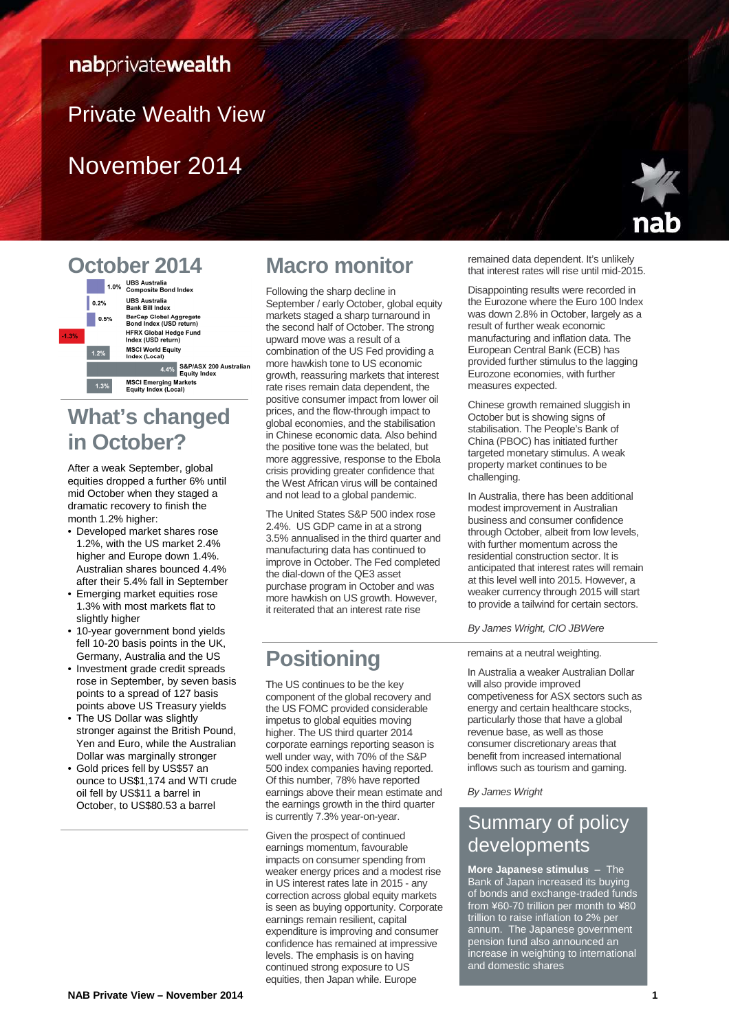### nabprivatewealth

# Private Wealth View

# November 2014



### October 2014 UBS Australia<br>Bank Bill Index  $| 0.2\%$



# **What's changed in October?**

After a weak September, global equities dropped a further 6% until mid October when they staged a dramatic recovery to finish the month 1.2% higher:

- Developed market shares rose 1.2%, with the US market 2.4% higher and Europe down 1.4%. Australian shares bounced 4.4% after their 5.4% fall in September
- Emerging market equities rose 1.3% with most markets flat to slightly higher
- 10-year government bond yields fell 10-20 basis points in the UK, Germany, Australia and the US
- Investment grade credit spreads rose in September, by seven basis points to a spread of 127 basis points above US Treasury yields
- The US Dollar was slightly stronger against the British Pound, Yen and Euro, while the Australian Dollar was marginally stronger
- Gold prices fell by US\$57 an ounce to US\$1,174 and WTI crude oil fell by US\$11 a barrel in October, to US\$80.53 a barrel

# **Macro monitor**

Following the sharp decline in September / early October, global equity markets staged a sharp turnaround in the second half of October. The strong upward move was a result of a combination of the US Fed providing a more hawkish tone to US economic growth, reassuring markets that interest rate rises remain data dependent, the positive consumer impact from lower oil prices, and the flow-through impact to global economies, and the stabilisation in Chinese economic data. Also behind the positive tone was the belated, but more aggressive, response to the Ebola crisis providing greater confidence that the West African virus will be contained and not lead to a global pandemic.

The United States S&P 500 index rose 2.4%. US GDP came in at a strong 3.5% annualised in the third quarter and manufacturing data has continued to improve in October. The Fed completed the dial-down of the QE3 asset purchase program in October and was more hawkish on US growth. However, it reiterated that an interest rate rise

# **Positioning**

The US continues to be the key component of the global recovery and the US FOMC provided considerable impetus to global equities moving higher. The US third quarter 2014 corporate earnings reporting season is well under way, with 70% of the S&P 500 index companies having reported. Of this number, 78% have reported earnings above their mean estimate and the earnings growth in the third quarter is currently 7.3% year-on-year.

Given the prospect of continued earnings momentum, favourable impacts on consumer spending from weaker energy prices and a modest rise in US interest rates late in 2015 - any correction across global equity markets is seen as buying opportunity. Corporate earnings remain resilient, capital expenditure is improving and consumer confidence has remained at impressive levels. The emphasis is on having continued strong exposure to US equities, then Japan while. Europe

remained data dependent. It's unlikely that interest rates will rise until mid-2015.

Disappointing results were recorded in the Eurozone where the Euro 100 Index was down 2.8% in October, largely as a result of further weak economic manufacturing and inflation data. The European Central Bank (ECB) has provided further stimulus to the lagging Eurozone economies, with further measures expected.

Chinese growth remained sluggish in October but is showing signs of stabilisation. The People's Bank of China (PBOC) has initiated further targeted monetary stimulus. A weak property market continues to be challenging.

In Australia, there has been additional modest improvement in Australian business and consumer confidence through October, albeit from low levels, with further momentum across the residential construction sector. It is anticipated that interest rates will remain at this level well into 2015. However, a weaker currency through 2015 will start to provide a tailwind for certain sectors.

#### By James Wright, CIO JBWere

#### remains at a neutral weighting.

In Australia a weaker Australian Dollar will also provide improved competiveness for ASX sectors such as energy and certain healthcare stocks, particularly those that have a global revenue base, as well as those consumer discretionary areas that benefit from increased international inflows such as tourism and gaming.

By James Wright

### Summary of policy developments

**More Japanese stimulus** – The Bank of Japan increased its buying of bonds and exchange-traded funds from ¥60-70 trillion per month to ¥80 trillion to raise inflation to 2% per annum. The Japanese government pension fund also announced an increase in weighting to international and domestic shares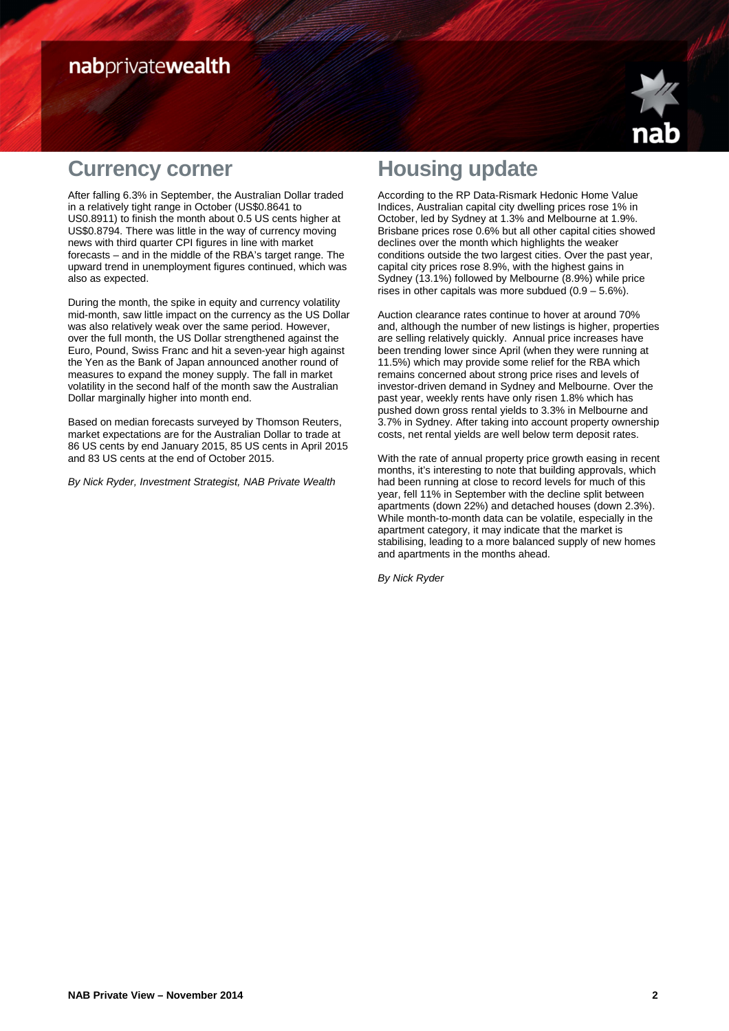## nabprivatewealth



### **Currency corner**

After falling 6.3% in September, the Australian Dollar traded in a relatively tight range in October (US\$0.8641 to US0.8911) to finish the month about 0.5 US cents higher at US\$0.8794. There was little in the way of currency moving news with third quarter CPI figures in line with market forecasts – and in the middle of the RBA's target range. The upward trend in unemployment figures continued, which was also as expected.

During the month, the spike in equity and currency volatility mid-month, saw little impact on the currency as the US Dollar was also relatively weak over the same period. However, over the full month, the US Dollar strengthened against the Euro, Pound, Swiss Franc and hit a seven-year high against the Yen as the Bank of Japan announced another round of measures to expand the money supply. The fall in market volatility in the second half of the month saw the Australian Dollar marginally higher into month end.

Based on median forecasts surveyed by Thomson Reuters, market expectations are for the Australian Dollar to trade at 86 US cents by end January 2015, 85 US cents in April 2015 and 83 US cents at the end of October 2015.

By Nick Ryder, Investment Strategist, NAB Private Wealth

# **Housing update**

According to the RP Data-Rismark Hedonic Home Value Indices, Australian capital city dwelling prices rose 1% in October, led by Sydney at 1.3% and Melbourne at 1.9%. Brisbane prices rose 0.6% but all other capital cities showed declines over the month which highlights the weaker conditions outside the two largest cities. Over the past year, capital city prices rose 8.9%, with the highest gains in Sydney (13.1%) followed by Melbourne (8.9%) while price rises in other capitals was more subdued  $(0.9 - 5.6\%)$ .

Auction clearance rates continue to hover at around 70% and, although the number of new listings is higher, properties are selling relatively quickly. Annual price increases have been trending lower since April (when they were running at 11.5%) which may provide some relief for the RBA which remains concerned about strong price rises and levels of investor-driven demand in Sydney and Melbourne. Over the past year, weekly rents have only risen 1.8% which has pushed down gross rental yields to 3.3% in Melbourne and 3.7% in Sydney. After taking into account property ownership costs, net rental yields are well below term deposit rates.

With the rate of annual property price growth easing in recent months, it's interesting to note that building approvals, which had been running at close to record levels for much of this year, fell 11% in September with the decline split between apartments (down 22%) and detached houses (down 2.3%). While month-to-month data can be volatile, especially in the apartment category, it may indicate that the market is stabilising, leading to a more balanced supply of new homes and apartments in the months ahead.

By Nick Ryder